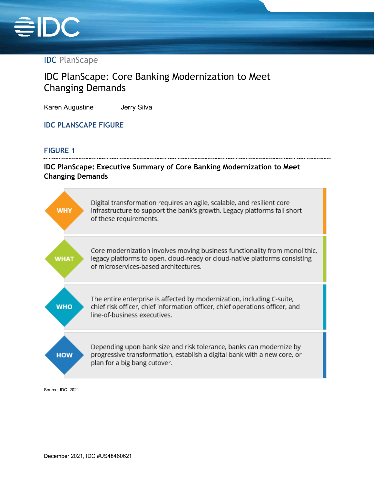

# IDC PlanScape

# IDC PlanScape: Core Banking Modernization to Meet Changing Demands

Karen Augustine **Jerry Silva** 

#### **IDC PLANSCAPE FIGURE**

#### **FIGURE 1**

## **IDC PlanScape: Executive Summary of Core Banking Modernization to Meet Changing Demands**

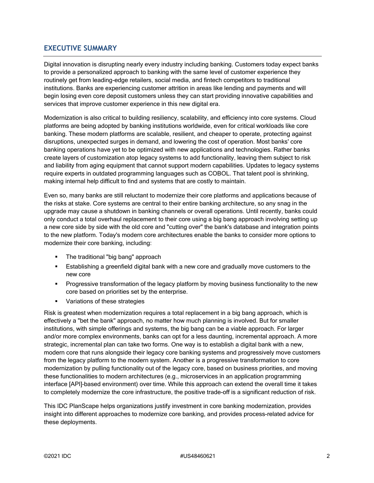#### **EXECUTIVE SUMMARY**

Digital innovation is disrupting nearly every industry including banking. Customers today expect banks to provide a personalized approach to banking with the same level of customer experience they routinely get from leading-edge retailers, social media, and fintech competitors to traditional institutions. Banks are experiencing customer attrition in areas like lending and payments and will begin losing even core deposit customers unless they can start providing innovative capabilities and services that improve customer experience in this new digital era.

Modernization is also critical to building resiliency, scalability, and efficiency into core systems. Cloud platforms are being adopted by banking institutions worldwide, even for critical workloads like core banking. These modern platforms are scalable, resilient, and cheaper to operate, protecting against disruptions, unexpected surges in demand, and lowering the cost of operation. Most banks' core banking operations have yet to be optimized with new applications and technologies. Rather banks create layers of customization atop legacy systems to add functionality, leaving them subject to risk and liability from aging equipment that cannot support modern capabilities. Updates to legacy systems require experts in outdated programming languages such as COBOL. That talent pool is shrinking, making internal help difficult to find and systems that are costly to maintain.

Even so, many banks are still reluctant to modernize their core platforms and applications because of the risks at stake. Core systems are central to their entire banking architecture, so any snag in the upgrade may cause a shutdown in banking channels or overall operations. Until recently, banks could only conduct a total overhaul replacement to their core using a big bang approach involving setting up a new core side by side with the old core and "cutting over" the bank's database and integration points to the new platform. Today's modern core architectures enable the banks to consider more options to modernize their core banking, including:

- The traditional "big bang" approach
- Establishing a greenfield digital bank with a new core and gradually move customers to the new core
- **Progressive transformation of the legacy platform by moving business functionality to the new** core based on priorities set by the enterprise.
- **Variations of these strategies**

Risk is greatest when modernization requires a total replacement in a big bang approach, which is effectively a "bet the bank" approach, no matter how much planning is involved. But for smaller institutions, with simple offerings and systems, the big bang can be a viable approach. For larger and/or more complex environments, banks can opt for a less daunting, incremental approach. A more strategic, incremental plan can take two forms. One way is to establish a digital bank with a new, modern core that runs alongside their legacy core banking systems and progressively move customers from the legacy platform to the modern system. Another is a progressive transformation to core modernization by pulling functionality out of the legacy core, based on business priorities, and moving these functionalities to modern architectures (e.g., microservices in an application programming interface [API]–based environment) over time. While this approach can extend the overall time it takes to completely modernize the core infrastructure, the positive trade-off is a significant reduction of risk.

This IDC PlanScape helps organizations justify investment in core banking modernization, provides insight into different approaches to modernize core banking, and provides process-related advice for these deployments.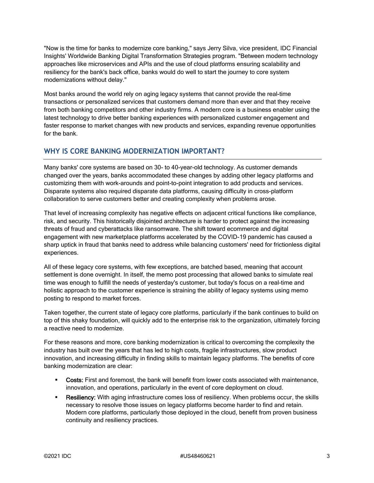"Now is the time for banks to modernize core banking," says Jerry Silva, vice president, IDC Financial Insights' Worldwide Banking Digital Transformation Strategies program. "Between modern technology approaches like microservices and APIs and the use of cloud platforms ensuring scalability and resiliency for the bank's back office, banks would do well to start the journey to core system modernizations without delay."

Most banks around the world rely on aging legacy systems that cannot provide the real-time transactions or personalized services that customers demand more than ever and that they receive from both banking competitors and other industry firms. A modern core is a business enabler using the latest technology to drive better banking experiences with personalized customer engagement and faster response to market changes with new products and services, expanding revenue opportunities for the bank.

## **WHY IS CORE BANKING MODERNIZATION IMPORTANT?**

Many banks' core systems are based on 30- to 40-year-old technology. As customer demands changed over the years, banks accommodated these changes by adding other legacy platforms and customizing them with work-arounds and point-to-point integration to add products and services. Disparate systems also required disparate data platforms, causing difficulty in cross-platform collaboration to serve customers better and creating complexity when problems arose.

That level of increasing complexity has negative effects on adjacent critical functions like compliance, risk, and security. This historically disjointed architecture is harder to protect against the increasing threats of fraud and cyberattacks like ransomware. The shift toward ecommerce and digital engagement with new marketplace platforms accelerated by the COVID-19 pandemic has caused a sharp uptick in fraud that banks need to address while balancing customers' need for frictionless digital experiences.

All of these legacy core systems, with few exceptions, are batched based, meaning that account settlement is done overnight. In itself, the memo post processing that allowed banks to simulate real time was enough to fulfill the needs of yesterday's customer, but today's focus on a real-time and holistic approach to the customer experience is straining the ability of legacy systems using memo posting to respond to market forces.

Taken together, the current state of legacy core platforms, particularly if the bank continues to build on top of this shaky foundation, will quickly add to the enterprise risk to the organization, ultimately forcing a reactive need to modernize.

For these reasons and more, core banking modernization is critical to overcoming the complexity the industry has built over the years that has led to high costs, fragile infrastructures, slow product innovation, and increasing difficulty in finding skills to maintain legacy platforms. The benefits of core banking modernization are clear:

- **Costs:** First and foremost, the bank will benefit from lower costs associated with maintenance, innovation, and operations, particularly in the event of core deployment on cloud.
- **Resiliency:** With aging infrastructure comes loss of resiliency. When problems occur, the skills necessary to resolve those issues on legacy platforms become harder to find and retain. Modern core platforms, particularly those deployed in the cloud, benefit from proven business continuity and resiliency practices.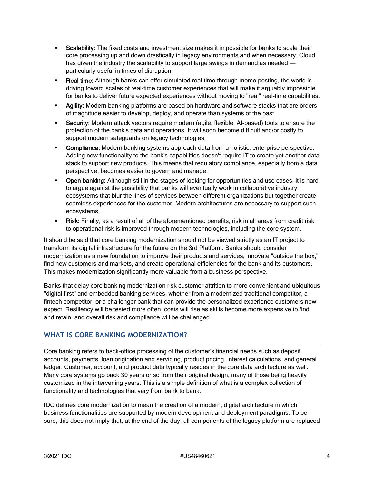- Scalability: The fixed costs and investment size makes it impossible for banks to scale their core processing up and down drastically in legacy environments and when necessary. Cloud has given the industry the scalability to support large swings in demand as needed  $$ particularly useful in times of disruption.
- Real time: Although banks can offer simulated real time through memo posting, the world is driving toward scales of real-time customer experiences that will make it arguably impossible for banks to deliver future expected experiences without moving to "real" real-time capabilities.
- **Agility:** Modern banking platforms are based on hardware and software stacks that are orders of magnitude easier to develop, deploy, and operate than systems of the past.
- **Security:** Modern attack vectors require modern (agile, flexible, AI-based) tools to ensure the protection of the bank's data and operations. It will soon become difficult and/or costly to support modern safeguards on legacy technologies.
- Compliance: Modern banking systems approach data from a holistic, enterprise perspective. Adding new functionality to the bank's capabilities doesn't require IT to create yet another data stack to support new products. This means that regulatory compliance, especially from a data perspective, becomes easier to govern and manage.
- Open banking: Although still in the stages of looking for opportunities and use cases, it is hard to argue against the possibility that banks will eventually work in collaborative industry ecosystems that blur the lines of services between different organizations but together create seamless experiences for the customer. Modern architectures are necessary to support such ecosystems.
- Risk: Finally, as a result of all of the aforementioned benefits, risk in all areas from credit risk to operational risk is improved through modern technologies, including the core system.

It should be said that core banking modernization should not be viewed strictly as an IT project to transform its digital infrastructure for the future on the 3rd Platform. Banks should consider modernization as a new foundation to improve their products and services, innovate "outside the box," find new customers and markets, and create operational efficiencies for the bank and its customers. This makes modernization significantly more valuable from a business perspective.

Banks that delay core banking modernization risk customer attrition to more convenient and ubiquitous "digital first" and embedded banking services, whether from a modernized traditional competitor, a fintech competitor, or a challenger bank that can provide the personalized experience customers now expect. Resiliency will be tested more often, costs will rise as skills become more expensive to find and retain, and overall risk and compliance will be challenged.

#### **WHAT IS CORE BANKING MODERNIZATION?**

Core banking refers to back-office processing of the customer's financial needs such as deposit accounts, payments, loan origination and servicing, product pricing, interest calculations, and general ledger. Customer, account, and product data typically resides in the core data architecture as well. Many core systems go back 30 years or so from their original design, many of those being heavily customized in the intervening years. This is a simple definition of what is a complex collection of functionality and technologies that vary from bank to bank.

IDC defines core modernization to mean the creation of a modern, digital architecture in which business functionalities are supported by modern development and deployment paradigms. To be sure, this does not imply that, at the end of the day, all components of the legacy platform are replaced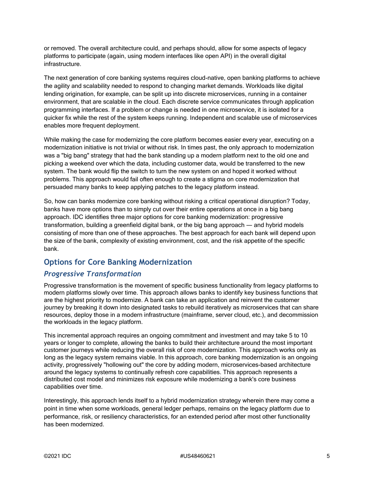or removed. The overall architecture could, and perhaps should, allow for some aspects of legacy platforms to participate (again, using modern interfaces like open API) in the overall digital infrastructure.

The next generation of core banking systems requires cloud-native, open banking platforms to achieve the agility and scalability needed to respond to changing market demands. Workloads like digital lending origination, for example, can be split up into discrete microservices, running in a container environment, that are scalable in the cloud. Each discrete service communicates through application programming interfaces. If a problem or change is needed in one microservice, it is isolated for a quicker fix while the rest of the system keeps running. Independent and scalable use of microservices enables more frequent deployment.

While making the case for modernizing the core platform becomes easier every year, executing on a modernization initiative is not trivial or without risk. In times past, the only approach to modernization was a "big bang" strategy that had the bank standing up a modern platform next to the old one and picking a weekend over which the data, including customer data, would be transferred to the new system. The bank would flip the switch to turn the new system on and hoped it worked without problems. This approach would fail often enough to create a stigma on core modernization that persuaded many banks to keep applying patches to the legacy platform instead.

So, how can banks modernize core banking without risking a critical operational disruption? Today, banks have more options than to simply cut over their entire operations at once in a big bang approach. IDC identifies three major options for core banking modernization: progressive transformation, building a greenfield digital bank, or the big bang approach — and hybrid models consisting of more than one of these approaches. The best approach for each bank will depend upon the size of the bank, complexity of existing environment, cost, and the risk appetite of the specific bank.

# **Options for Core Banking Modernization**

#### *Progressive Transformation*

Progressive transformation is the movement of specific business functionality from legacy platforms to modern platforms slowly over time. This approach allows banks to identify key business functions that are the highest priority to modernize. A bank can take an application and reinvent the customer journey by breaking it down into designated tasks to rebuild iteratively as microservices that can share resources, deploy those in a modern infrastructure (mainframe, server cloud, etc.), and decommission the workloads in the legacy platform.

This incremental approach requires an ongoing commitment and investment and may take 5 to 10 years or longer to complete, allowing the banks to build their architecture around the most important customer journeys while reducing the overall risk of core modernization. This approach works only as long as the legacy system remains viable. In this approach, core banking modernization is an ongoing activity, progressively "hollowing out" the core by adding modern, microservices-based architecture around the legacy systems to continually refresh core capabilities. This approach represents a distributed cost model and minimizes risk exposure while modernizing a bank's core business capabilities over time.

Interestingly, this approach lends itself to a hybrid modernization strategy wherein there may come a point in time when some workloads, general ledger perhaps, remains on the legacy platform due to performance, risk, or resiliency characteristics, for an extended period after most other functionality has been modernized.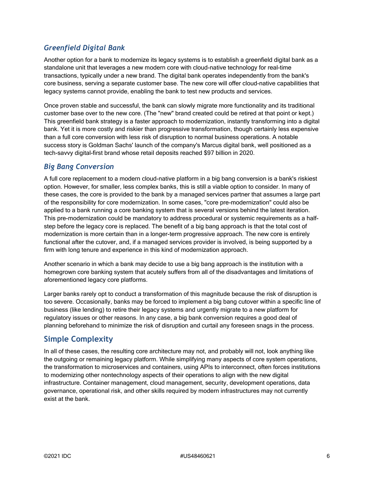# *Greenfield Digital Bank*

Another option for a bank to modernize its legacy systems is to establish a greenfield digital bank as a standalone unit that leverages a new modern core with cloud-native technology for real-time transactions, typically under a new brand. The digital bank operates independently from the bank's core business, serving a separate customer base. The new core will offer cloud-native capabilities that legacy systems cannot provide, enabling the bank to test new products and services.

Once proven stable and successful, the bank can slowly migrate more functionality and its traditional customer base over to the new core. (The "new" brand created could be retired at that point or kept.) This greenfield bank strategy is a faster approach to modernization, instantly transforming into a digital bank. Yet it is more costly and riskier than progressive transformation, though certainly less expensive than a full core conversion with less risk of disruption to normal business operations. A notable success story is Goldman Sachs' launch of the company's Marcus digital bank, well positioned as a tech-savvy digital-first brand whose retail deposits reached \$97 billion in 2020.

#### *Big Bang Conversion*

A full core replacement to a modern cloud-native platform in a big bang conversion is a bank's riskiest option. However, for smaller, less complex banks, this is still a viable option to consider. In many of these cases, the core is provided to the bank by a managed services partner that assumes a large part of the responsibility for core modernization. In some cases, "core pre-modernization" could also be applied to a bank running a core banking system that is several versions behind the latest iteration. This pre-modernization could be mandatory to address procedural or systemic requirements as a halfstep before the legacy core is replaced. The benefit of a big bang approach is that the total cost of modernization is more certain than in a longer-term progressive approach. The new core is entirely functional after the cutover, and, if a managed services provider is involved, is being supported by a firm with long tenure and experience in this kind of modernization approach.

Another scenario in which a bank may decide to use a big bang approach is the institution with a homegrown core banking system that acutely suffers from all of the disadvantages and limitations of aforementioned legacy core platforms.

Larger banks rarely opt to conduct a transformation of this magnitude because the risk of disruption is too severe. Occasionally, banks may be forced to implement a big bang cutover within a specific line of business (like lending) to retire their legacy systems and urgently migrate to a new platform for regulatory issues or other reasons. In any case, a big bank conversion requires a good deal of planning beforehand to minimize the risk of disruption and curtail any foreseen snags in the process.

# **Simple Complexity**

In all of these cases, the resulting core architecture may not, and probably will not, look anything like the outgoing or remaining legacy platform. While simplifying many aspects of core system operations, the transformation to microservices and containers, using APIs to interconnect, often forces institutions to modernizing other nontechnology aspects of their operations to align with the new digital infrastructure. Container management, cloud management, security, development operations, data governance, operational risk, and other skills required by modern infrastructures may not currently exist at the bank.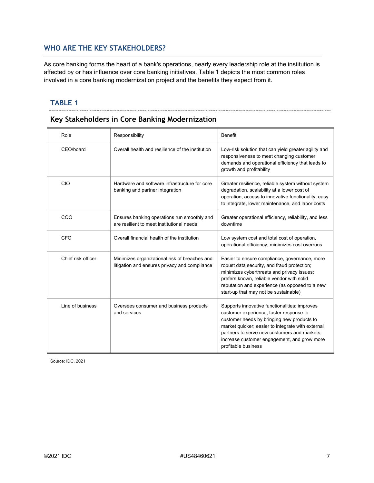# **WHO ARE THE KEY STAKEHOLDERS?**

As core banking forms the heart of a bank's operations, nearly every leadership role at the institution is affected by or has influence over core banking initiatives. Table 1 depicts the most common roles involved in a core banking modernization project and the benefits they expect from it.

#### **TABLE 1**

#### **Key Stakeholders in Core Banking Modernization**

| Role               | Responsibility                                                                                 | Benefit                                                                                                                                                                                                                                                                                                           |
|--------------------|------------------------------------------------------------------------------------------------|-------------------------------------------------------------------------------------------------------------------------------------------------------------------------------------------------------------------------------------------------------------------------------------------------------------------|
| CEO/board          | Overall health and resilience of the institution                                               | Low-risk solution that can yield greater agility and<br>responsiveness to meet changing customer<br>demands and operational efficiency that leads to<br>growth and profitability                                                                                                                                  |
| CIO                | Hardware and software infrastructure for core<br>banking and partner integration               | Greater resilience, reliable system without system<br>degradation, scalability at a lower cost of<br>operation, access to innovative functionality, easy<br>to integrate, lower maintenance, and labor costs                                                                                                      |
| COO                | Ensures banking operations run smoothly and<br>are resilient to meet institutional needs       | Greater operational efficiency, reliability, and less<br>downtime                                                                                                                                                                                                                                                 |
| <b>CFO</b>         | Overall financial health of the institution                                                    | Low system cost and total cost of operation,<br>operational efficiency, minimizes cost overruns                                                                                                                                                                                                                   |
| Chief risk officer | Minimizes organizational risk of breaches and<br>litigation and ensures privacy and compliance | Easier to ensure compliance, governance, more<br>robust data security, and fraud protection;<br>minimizes cyberthreats and privacy issues;<br>prefers known, reliable vendor with solid<br>reputation and experience (as opposed to a new<br>start-up that may not be sustainable)                                |
| Line of business   | Oversees consumer and business products<br>and services                                        | Supports innovative functionalities; improves<br>customer experience; faster response to<br>customer needs by bringing new products to<br>market quicker; easier to integrate with external<br>partners to serve new customers and markets.<br>increase customer engagement, and grow more<br>profitable business |

Source: IDC, 2021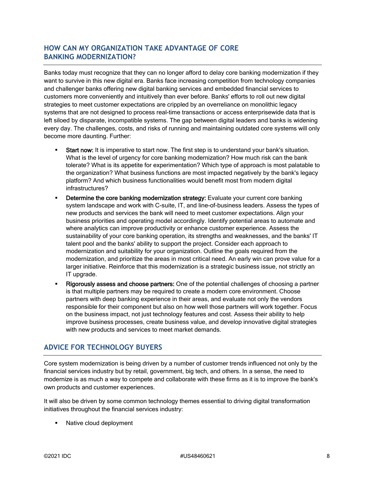#### **HOW CAN MY ORGANIZATION TAKE ADVANTAGE OF CORE BANKING MODERNIZATION?**

Banks today must recognize that they can no longer afford to delay core banking modernization if they want to survive in this new digital era. Banks face increasing competition from technology companies and challenger banks offering new digital banking services and embedded financial services to customers more conveniently and intuitively than ever before. Banks' efforts to roll out new digital strategies to meet customer expectations are crippled by an overreliance on monolithic legacy systems that are not designed to process real-time transactions or access enterprisewide data that is left siloed by disparate, incompatible systems. The gap between digital leaders and banks is widening every day. The challenges, costs, and risks of running and maintaining outdated core systems will only become more daunting. Further:

- Start now: It is imperative to start now. The first step is to understand your bank's situation. What is the level of urgency for core banking modernization? How much risk can the bank tolerate? What is its appetite for experimentation? Which type of approach is most palatable to the organization? What business functions are most impacted negatively by the bank's legacy platform? And which business functionalities would benefit most from modern digital infrastructures?
- **Determine the core banking modernization strategy:** Evaluate your current core banking system landscape and work with C-suite, IT, and line-of-business leaders. Assess the types of new products and services the bank will need to meet customer expectations. Align your business priorities and operating model accordingly. Identify potential areas to automate and where analytics can improve productivity or enhance customer experience. Assess the sustainability of your core banking operation, its strengths and weaknesses, and the banks' IT talent pool and the banks' ability to support the project. Consider each approach to modernization and suitability for your organization. Outline the goals required from the modernization, and prioritize the areas in most critical need. An early win can prove value for a larger initiative. Reinforce that this modernization is a strategic business issue, not strictly an IT upgrade.
- Rigorously assess and choose partners: One of the potential challenges of choosing a partner is that multiple partners may be required to create a modern core environment. Choose partners with deep banking experience in their areas, and evaluate not only the vendors responsible for their component but also on how well those partners will work together. Focus on the business impact, not just technology features and cost. Assess their ability to help improve business processes, create business value, and develop innovative digital strategies with new products and services to meet market demands.

# **ADVICE FOR TECHNOLOGY BUYERS**

Core system modernization is being driven by a number of customer trends influenced not only by the financial services industry but by retail, government, big tech, and others. In a sense, the need to modernize is as much a way to compete and collaborate with these firms as it is to improve the bank's own products and customer experiences.

It will also be driven by some common technology themes essential to driving digital transformation initiatives throughout the financial services industry:

Native cloud deployment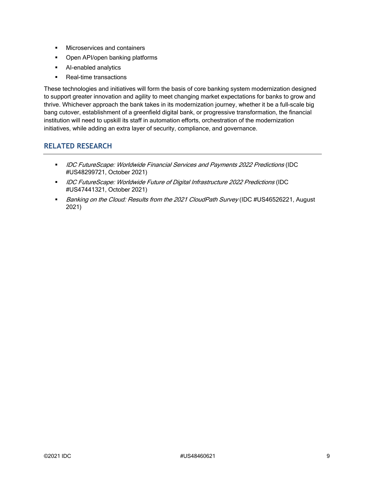- **Microservices and containers**
- Open API/open banking platforms
- AI-enabled analytics
- Real-time transactions

These technologies and initiatives will form the basis of core banking system modernization designed to support greater innovation and agility to meet changing market expectations for banks to grow and thrive. Whichever approach the bank takes in its modernization journey, whether it be a full-scale big bang cutover, establishment of a greenfield digital bank, or progressive transformation, the financial institution will need to upskill its staff in automation efforts, orchestration of the modernization initiatives, while adding an extra layer of security, compliance, and governance.

## **RELATED RESEARCH**

- **IDC FutureScape: Worldwide Financial Services and Payments 2022 Predictions (IDC** #US48299721, October 2021)
- **IDC FutureScape: Worldwide Future of Digital Infrastructure 2022 Predictions (IDC** #US47441321, October 2021)
- Banking on the Cloud: Results from the 2021 CloudPath Survey (IDC #US46526221, August 2021)